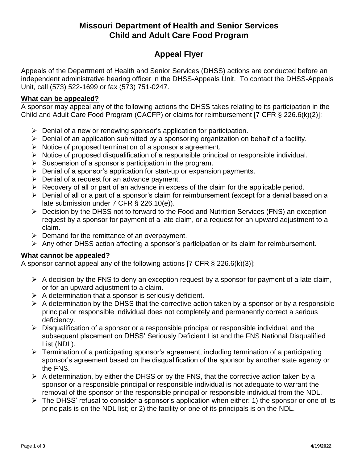# **Missouri Department of Health and Senior Services Child and Adult Care Food Program**

# **Appeal Flyer**

Appeals of the Department of Health and Senior Services (DHSS) actions are conducted before an independent administrative hearing officer in the DHSS-Appeals Unit. To contact the DHSS-Appeals Unit, call (573) 522-1699 or fax (573) 751-0247.

#### **What can be appealed?**

A sponsor may appeal any of the following actions the DHSS takes relating to its participation in the Child and Adult Care Food Program (CACFP) or claims for reimbursement [7 CFR § 226.6(k)(2)]:

- $\triangleright$  Denial of a new or renewing sponsor's application for participation.
- $\triangleright$  Denial of an application submitted by a sponsoring organization on behalf of a facility.
- $\triangleright$  Notice of proposed termination of a sponsor's agreement.
- $\triangleright$  Notice of proposed disqualification of a responsible principal or responsible individual.
- $\triangleright$  Suspension of a sponsor's participation in the program.
- $\triangleright$  Denial of a sponsor's application for start-up or expansion payments.
- $\triangleright$  Denial of a request for an advance payment.
- $\triangleright$  Recovery of all or part of an advance in excess of the claim for the applicable period.
- $\triangleright$  Denial of all or a part of a sponsor's claim for reimbursement (except for a denial based on a late submission under 7 CFR § 226.10(e)).
- Decision by the DHSS not to forward to the Food and Nutrition Services (FNS) an exception request by a sponsor for payment of a late claim, or a request for an upward adjustment to a claim.
- $\triangleright$  Demand for the remittance of an overpayment.
- $\triangleright$  Any other DHSS action affecting a sponsor's participation or its claim for reimbursement.

#### **What cannot be appealed?**

A sponsor cannot appeal any of the following actions [7 CFR § 226.6(k)(3)]:

- $\triangleright$  A decision by the FNS to deny an exception request by a sponsor for payment of a late claim, or for an upward adjustment to a claim.
- $\triangleright$  A determination that a sponsor is seriously deficient.
- $\triangleright$  A determination by the DHSS that the corrective action taken by a sponsor or by a responsible principal or responsible individual does not completely and permanently correct a serious deficiency.
- $\triangleright$  Disqualification of a sponsor or a responsible principal or responsible individual, and the subsequent placement on DHSS' Seriously Deficient List and the FNS National Disqualified List (NDL).
- $\triangleright$  Termination of a participating sponsor's agreement, including termination of a participating sponsor's agreement based on the disqualification of the sponsor by another state agency or the FNS.
- $\triangleright$  A determination, by either the DHSS or by the FNS, that the corrective action taken by a sponsor or a responsible principal or responsible individual is not adequate to warrant the removal of the sponsor or the responsible principal or responsible individual from the NDL.
- $\triangleright$  The DHSS' refusal to consider a sponsor's application when either: 1) the sponsor or one of its principals is on the NDL list; or 2) the facility or one of its principals is on the NDL.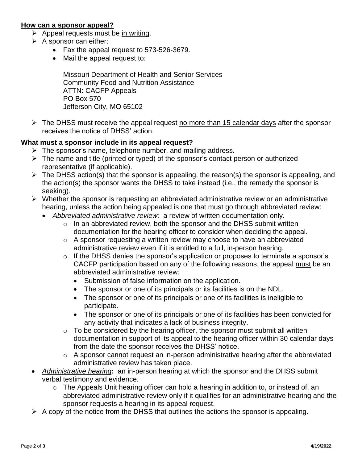#### **How can a sponsor appeal?**

- $\triangleright$  Appeal requests must be in writing.
- $\triangleright$  A sponsor can either:
	- Fax the appeal request to 573-526-3679.
	- Mail the appeal request to:

Missouri Department of Health and Senior Services Community Food and Nutrition Assistance ATTN: CACFP Appeals PO Box 570 Jefferson City, MO 65102

 $\triangleright$  The DHSS must receive the appeal request no more than 15 calendar days after the sponsor receives the notice of DHSS' action.

#### **What must a sponsor include in its appeal request?**

- $\triangleright$  The sponsor's name, telephone number, and mailing address.
- $\triangleright$  The name and title (printed or typed) of the sponsor's contact person or authorized representative (if applicable).
- $\triangleright$  The DHSS action(s) that the sponsor is appealing, the reason(s) the sponsor is appealing, and the action(s) the sponsor wants the DHSS to take instead (i.e., the remedy the sponsor is seeking).
- $\triangleright$  Whether the sponsor is requesting an abbreviated administrative review or an administrative hearing, unless the action being appealed is one that must go through abbreviated review:
	- *Abbreviated administrative review:* a review of written documentation only.
		- o In an abbreviated review, both the sponsor and the DHSS submit written documentation for the hearing officer to consider when deciding the appeal.
		- $\circ$  A sponsor requesting a written review may choose to have an abbreviated administrative review even if it is entitled to a full, in-person hearing.
		- o If the DHSS denies the sponsor's application or proposes to terminate a sponsor's CACFP participation based on any of the following reasons, the appeal must be an abbreviated administrative review:
			- Submission of false information on the application.
			- The sponsor or one of its principals or its facilities is on the NDL.
			- The sponsor or one of its principals or one of its facilities is ineligible to participate.
			- The sponsor or one of its principals or one of its facilities has been convicted for any activity that indicates a lack of business integrity.
		- $\circ$  To be considered by the hearing officer, the sponsor must submit all written documentation in support of its appeal to the hearing officer within 30 calendar days from the date the sponsor receives the DHSS' notice.
		- $\circ$  A sponsor cannot request an in-person administrative hearing after the abbreviated administrative review has taken place.
- *Administrative hearing***:** an in-person hearing at which the sponsor and the DHSS submit verbal testimony and evidence.
	- o The Appeals Unit hearing officer can hold a hearing in addition to, or instead of, an abbreviated administrative review only if it qualifies for an administrative hearing and the sponsor requests a hearing in its appeal request.
- $\triangleright$  A copy of the notice from the DHSS that outlines the actions the sponsor is appealing.